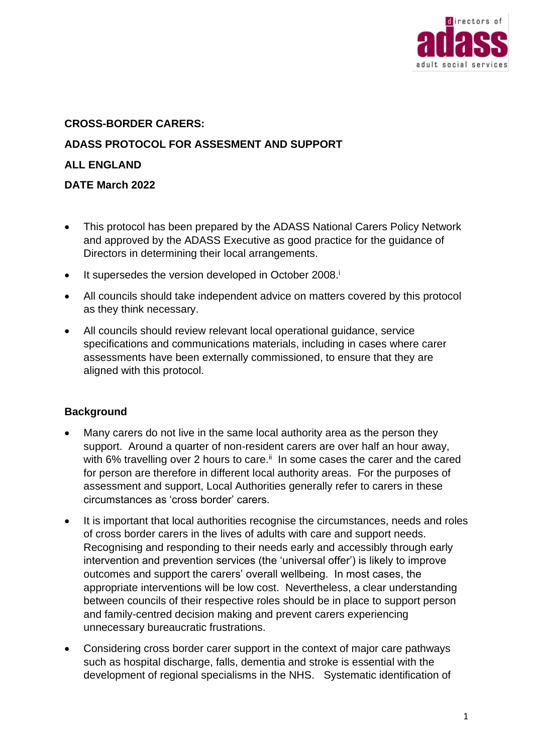

# **CROSS-BORDER CARERS: ADASS PROTOCOL FOR ASSESMENT AND SUPPORT ALL ENGLAND DATE March 2022**

- This protocol has been prepared by the ADASS National Carers Policy Network and approved by the ADASS Executive as good practice for the guidance of Directors in determining their local arrangements.
- It supersedes the version developed in October 2008.<sup>i</sup>
- All councils should take independent advice on matters covered by this protocol as they think necessary.
- All councils should review relevant local operational guidance, service specifications and communications materials, including in cases where carer assessments have been externally commissioned, to ensure that they are aligned with this protocol.

# **Background**

- Many carers do not live in the same local authority area as the person they support. Around a quarter of non-resident carers are over half an hour away, with 6% travelling over 2 hours to care. $\mathbb{I}$  In some cases the carer and the cared for person are therefore in different local authority areas. For the purposes of assessment and support, Local Authorities generally refer to carers in these circumstances as 'cross border' carers.
- It is important that local authorities recognise the circumstances, needs and roles of cross border carers in the lives of adults with care and support needs. Recognising and responding to their needs early and accessibly through early intervention and prevention services (the 'universal offer') is likely to improve outcomes and support the carers' overall wellbeing. In most cases, the appropriate interventions will be low cost. Nevertheless, a clear understanding between councils of their respective roles should be in place to support person and family-centred decision making and prevent carers experiencing unnecessary bureaucratic frustrations.
- Considering cross border carer support in the context of major care pathways such as hospital discharge, falls, dementia and stroke is essential with the development of regional specialisms in the NHS. Systematic identification of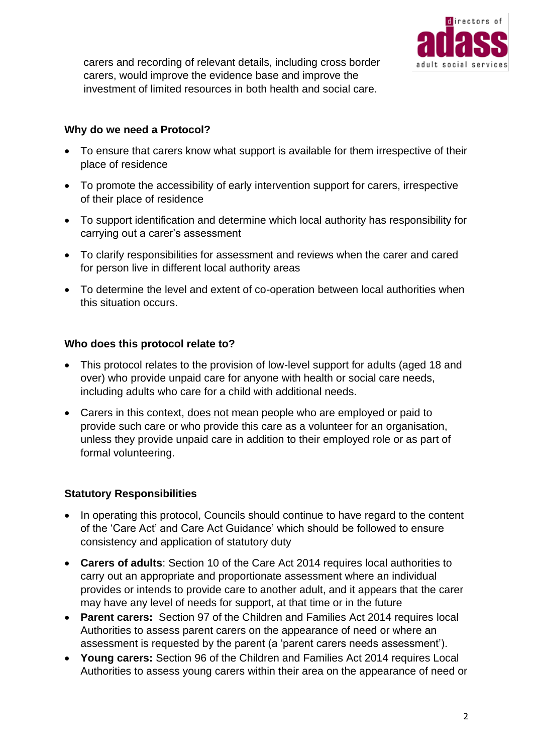

carers and recording of relevant details, including cross border carers, would improve the evidence base and improve the investment of limited resources in both health and social care.

#### **Why do we need a Protocol?**

- To ensure that carers know what support is available for them irrespective of their place of residence
- To promote the accessibility of early intervention support for carers, irrespective of their place of residence
- To support identification and determine which local authority has responsibility for carrying out a carer's assessment
- To clarify responsibilities for assessment and reviews when the carer and cared for person live in different local authority areas
- To determine the level and extent of co-operation between local authorities when this situation occurs.

#### **Who does this protocol relate to?**

- This protocol relates to the provision of low-level support for adults (aged 18 and over) who provide unpaid care for anyone with health or social care needs, including adults who care for a child with additional needs.
- Carers in this context, does not mean people who are employed or paid to provide such care or who provide this care as a volunteer for an organisation, unless they provide unpaid care in addition to their employed role or as part of formal volunteering.

# **Statutory Responsibilities**

- In operating this protocol, Councils should continue to have regard to the content of the 'Care Act' and Care Act Guidance' which should be followed to ensure consistency and application of statutory duty
- **Carers of adults**: Section 10 of the Care Act 2014 requires local authorities to carry out an appropriate and proportionate assessment where an individual provides or intends to provide care to another adult, and it appears that the carer may have any level of needs for support, at that time or in the future
- **Parent carers:** Section 97 of the Children and Families Act 2014 requires local Authorities to assess parent carers on the appearance of need or where an assessment is requested by the parent (a 'parent carers needs assessment').
- **Young carers:** Section 96 of the Children and Families Act 2014 requires Local Authorities to assess young carers within their area on the appearance of need or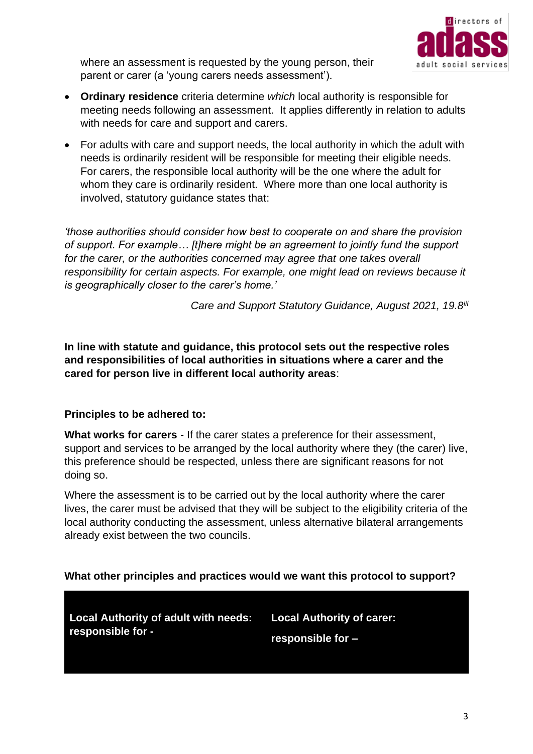

where an assessment is requested by the young person, their parent or carer (a 'young carers needs assessment').

- **Ordinary residence** criteria determine *which* local authority is responsible for meeting needs following an assessment. It applies differently in relation to adults with needs for care and support and carers.
- For adults with care and support needs, the local authority in which the adult with needs is ordinarily resident will be responsible for meeting their eligible needs. For carers, the responsible local authority will be the one where the adult for whom they care is ordinarily resident. Where more than one local authority is involved, statutory guidance states that:

*'those authorities should consider how best to cooperate on and share the provision of support. For example… [t]here might be an agreement to jointly fund the support*  for the carer, or the authorities concerned may agree that one takes overall *responsibility for certain aspects. For example, one might lead on reviews because it is geographically closer to the carer's home.'* 

*Care and Support Statutory Guidance, August 2021, 19.8iii*

**In line with statute and guidance, this protocol sets out the respective roles and responsibilities of local authorities in situations where a carer and the cared for person live in different local authority areas**:

# **Principles to be adhered to:**

**What works for carers** - If the carer states a preference for their assessment, support and services to be arranged by the local authority where they (the carer) live, this preference should be respected, unless there are significant reasons for not doing so.

Where the assessment is to be carried out by the local authority where the carer lives, the carer must be advised that they will be subject to the eligibility criteria of the local authority conducting the assessment, unless alternative bilateral arrangements already exist between the two councils.

# **What other principles and practices would we want this protocol to support?**

**Local Authority of adult with needs: responsible for -**

**Local Authority of carer: responsible for –**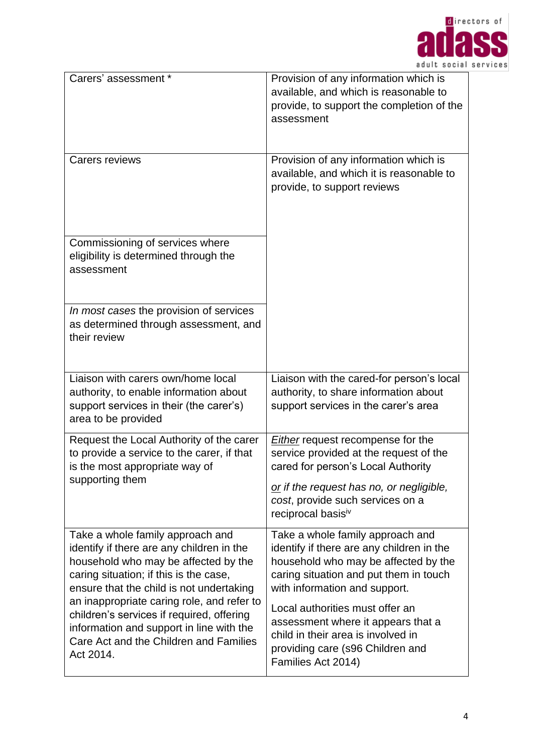

| Carers' assessment *                                                                                                                                                                                                                                                                                                                                                                                      | Provision of any information which is<br>available, and which is reasonable to<br>provide, to support the completion of the<br>assessment                                                                                                                                                                                                                                 |
|-----------------------------------------------------------------------------------------------------------------------------------------------------------------------------------------------------------------------------------------------------------------------------------------------------------------------------------------------------------------------------------------------------------|---------------------------------------------------------------------------------------------------------------------------------------------------------------------------------------------------------------------------------------------------------------------------------------------------------------------------------------------------------------------------|
| <b>Carers reviews</b>                                                                                                                                                                                                                                                                                                                                                                                     | Provision of any information which is<br>available, and which it is reasonable to<br>provide, to support reviews                                                                                                                                                                                                                                                          |
| Commissioning of services where<br>eligibility is determined through the<br>assessment                                                                                                                                                                                                                                                                                                                    |                                                                                                                                                                                                                                                                                                                                                                           |
| In most cases the provision of services<br>as determined through assessment, and<br>their review                                                                                                                                                                                                                                                                                                          |                                                                                                                                                                                                                                                                                                                                                                           |
| Liaison with carers own/home local<br>authority, to enable information about<br>support services in their (the carer's)<br>area to be provided                                                                                                                                                                                                                                                            | Liaison with the cared-for person's local<br>authority, to share information about<br>support services in the carer's area                                                                                                                                                                                                                                                |
| Request the Local Authority of the carer<br>to provide a service to the carer, if that<br>is the most appropriate way of<br>supporting them                                                                                                                                                                                                                                                               | <b>Either</b> request recompense for the<br>service provided at the request of the<br>cared for person's Local Authority<br>or if the request has no, or negligible,<br>cost, provide such services on a<br>reciprocal basisiv                                                                                                                                            |
| Take a whole family approach and<br>identify if there are any children in the<br>household who may be affected by the<br>caring situation; if this is the case,<br>ensure that the child is not undertaking<br>an inappropriate caring role, and refer to<br>children's services if required, offering<br>information and support in line with the<br>Care Act and the Children and Families<br>Act 2014. | Take a whole family approach and<br>identify if there are any children in the<br>household who may be affected by the<br>caring situation and put them in touch<br>with information and support.<br>Local authorities must offer an<br>assessment where it appears that a<br>child in their area is involved in<br>providing care (s96 Children and<br>Families Act 2014) |